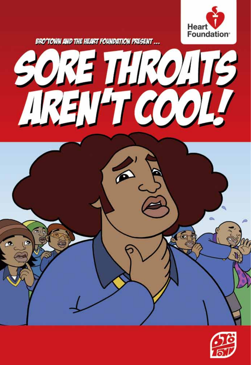

**BRO'TOWN AND THE HEART FOUNDATION PRESENT...** 



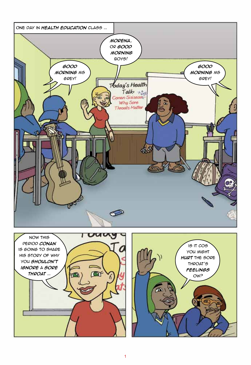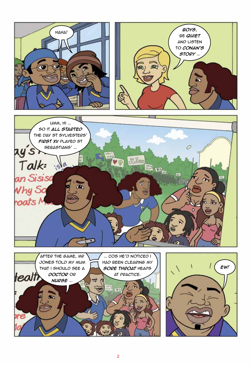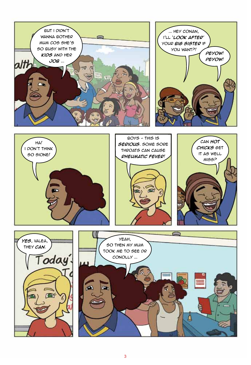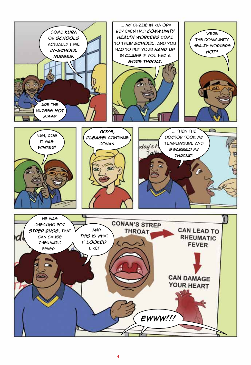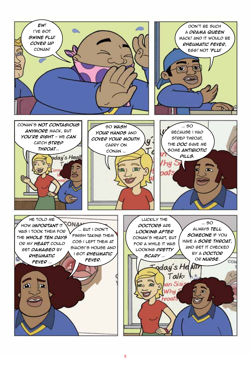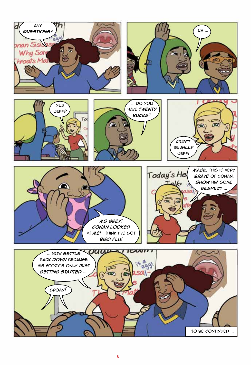